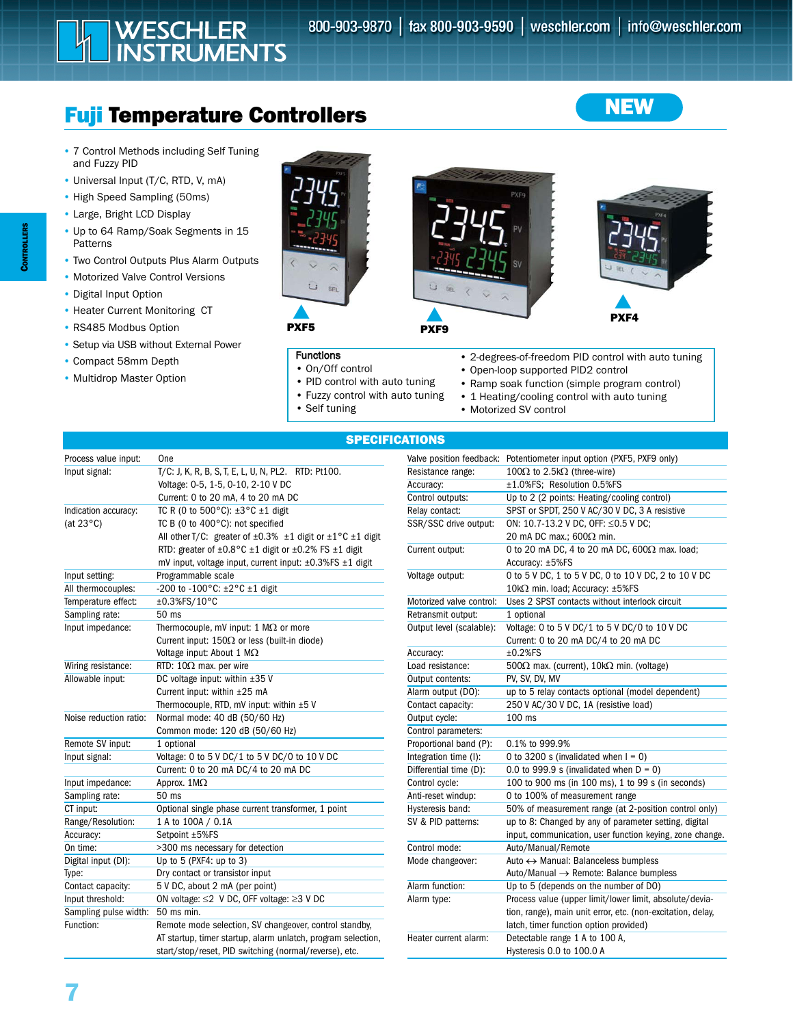# Fuji Temperature Controllers

WESCHLER<br>INSTRUMENTS

- 7 Control Methods including Self Tuning and Fuzzy PID
- Universal Input (T/C, RTD, V, mA)
- High Speed Sampling (50ms)
- Large, Bright LCD Display
- Up to 64 Ramp/Soak Segments in 15 Patterns
- Two Control Outputs Plus Alarm Outputs
- Motorized Valve Control Versions
- Digital Input Option
- Heater Current Monitoring CT
- RS485 Modbus Option
- Setup via USB without External Power
- Compact 58mm Depth
- Multidrop Master Option



### **Functions**

- On/Off control
- PID control with auto tuning
- Fuzzy control with auto tuning
- Self tuning



PXF9



**NEW** 

PXF4

- 2-degrees-of-freedom PID control with auto tuning
- Open-loop supported PID2 control
- Ramp soak function (simple program control)
- 1 Heating/cooling control with auto tuning
- Motorized SV control

### SPECIFICATIONS

| Process value input:   | One                                                                                   |
|------------------------|---------------------------------------------------------------------------------------|
| Input signal:          | T/C: J, K, R, B, S, T, E, L, U, N, PL2. RTD: Pt100.                                   |
|                        | Voltage: 0-5, 1-5, 0-10, 2-10 V DC                                                    |
|                        | Current: 0 to 20 mA, 4 to 20 mA DC                                                    |
| Indication accuracy:   | TC R (0 to 500 $^{\circ}$ C): ±3 $^{\circ}$ C ±1 digit                                |
| (at $23^{\circ}$ C)    | TC B (0 to 400°C): not specified                                                      |
|                        | All other T/C: greater of $\pm 0.3\%$ $\pm 1$ digit or $\pm 1\degree$ C $\pm 1$ digit |
|                        | RTD: greater of $\pm 0.8$ °C $\pm 1$ digit or $\pm 0.2$ % FS $\pm 1$ digit            |
|                        | mV input, voltage input, current input: $\pm 0.3\%$ FS $\pm 1$ digit                  |
| Input setting:         | Programmable scale                                                                    |
| All thermocouples:     | -200 to -100°C: ±2°C ±1 digit                                                         |
| Temperature effect:    | ±0.3%FS/10°C                                                                          |
| Sampling rate:         | 50 ms                                                                                 |
| Input impedance:       | Thermocouple, mV input: 1 $M\Omega$ or more                                           |
|                        | Current input: $150\Omega$ or less (built-in diode)                                   |
|                        | Voltage input: About 1 $M\Omega$                                                      |
| Wiring resistance:     | RTD: $10\Omega$ max. per wire                                                         |
| Allowable input:       | DC voltage input: within ±35 V                                                        |
|                        | Current input: within ±25 mA                                                          |
|                        | Thermocouple, RTD, mV input: within $\pm 5$ V                                         |
| Noise reduction ratio: | Normal mode: 40 dB (50/60 Hz)                                                         |
|                        | Common mode: 120 dB (50/60 Hz)                                                        |
| Remote SV input:       | 1 optional                                                                            |
| Input signal:          | Voltage: 0 to 5 V DC/1 to 5 V DC/0 to 10 V DC                                         |
|                        | Current: 0 to 20 mA DC/4 to 20 mA DC                                                  |
| Input impedance:       | Approx. $1M\Omega$                                                                    |
| Sampling rate:         | 50 ms                                                                                 |
| CT input:              | Optional single phase current transformer, 1 point                                    |
| Range/Resolution:      | 1 A to 100A / 0.1A                                                                    |
| Accuracy:              | Setpoint ±5%FS                                                                        |
| On time:               | >300 ms necessary for detection                                                       |
| Digital input (DI):    | Up to $5$ (PXF4: up to $3$ )                                                          |
| Type:                  | Dry contact or transistor input                                                       |
| Contact capacity:      | 5 V DC, about 2 mA (per point)                                                        |
| Input threshold:       | ON voltage: $\leq$ 2 V DC, OFF voltage: $\geq$ 3 V DC                                 |
| Sampling pulse width:  | 50 ms min.                                                                            |
| Function:              | Remote mode selection, SV changeover, control standby,                                |
|                        | AT startup, timer startup, alarm unlatch, program selection,                          |
|                        | start/stop/reset, PID switching (normal/reverse), etc.                                |

| Valve position feedback: | Potentiometer input option (PXF5, PXF9 only)                |
|--------------------------|-------------------------------------------------------------|
| Resistance range:        | 100Ω to 2.5kΩ (three-wire)                                  |
| Accuracy:                | ±1.0%FS; Resolution 0.5%FS                                  |
| Control outputs:         | Up to 2 (2 points: Heating/cooling control)                 |
| Relay contact:           | SPST or SPDT, 250 V AC/30 V DC, 3 A resistive               |
| SSR/SSC drive output:    | ON: 10.7-13.2 V DC, OFF: ≤0.5 V DC;                         |
|                          | 20 mA DC max.; $600\Omega$ min.                             |
| Current output:          | 0 to 20 mA DC, 4 to 20 mA DC, $600\Omega$ max. load;        |
|                          | Accuracy: ±5%FS                                             |
| Voltage output:          | 0 to 5 V DC, 1 to 5 V DC, 0 to 10 V DC, 2 to 10 V DC        |
|                          | 10kΩ min. load; Accuracy: ±5%FS                             |
| Motorized valve control: | Uses 2 SPST contacts without interlock circuit              |
| Retransmit output:       | 1 optional                                                  |
| Output level (scalable): | Voltage: 0 to 5 V DC/1 to 5 V DC/0 to 10 V DC               |
|                          | Current: 0 to 20 mA DC/4 to 20 mA DC                        |
| Accuracy:                | $±0.2%$ FS                                                  |
| Load resistance:         | 500 $\Omega$ max. (current), 10k $\Omega$ min. (voltage)    |
| Output contents:         | PV, SV, DV, MV                                              |
| Alarm output (DO):       | up to 5 relay contacts optional (model dependent)           |
| Contact capacity:        | 250 V AC/30 V DC, 1A (resistive load)                       |
| Output cycle:            | 100 ms                                                      |
| Control parameters:      |                                                             |
| Proportional band (P):   | 0.1% to 999.9%                                              |
| Integration time (I):    | 0 to 3200 s (invalidated when $I = 0$ )                     |
| Differential time (D):   | 0.0 to 999.9 s (invalidated when $D = 0$ )                  |
| Control cycle:           | 100 to 900 ms (in 100 ms), 1 to 99 s (in seconds)           |
| Anti-reset windup:       | 0 to 100% of measurement range                              |
| Hysteresis band:         | 50% of measurement range (at 2-position control only)       |
| SV & PID patterns:       | up to 8: Changed by any of parameter setting, digital       |
|                          | input, communication, user function keying, zone change.    |
| Control mode:            | Auto/Manual/Remote                                          |
| Mode changeover:         | Auto ↔ Manual: Balanceless bumpless                         |
|                          | Auto/Manual → Remote: Balance bumpless                      |
| Alarm function:          | Up to 5 (depends on the number of DO)                       |
| Alarm type:              | Process value (upper limit/lower limit, absolute/devia-     |
|                          | tion, range), main unit error, etc. (non-excitation, delay, |
|                          | latch, timer function option provided)                      |
| Heater current alarm:    | Detectable range 1 A to 100 A,                              |
|                          | Hysteresis 0.0 to 100.0 A                                   |

**CONTROLLERS** CONTROLLERS